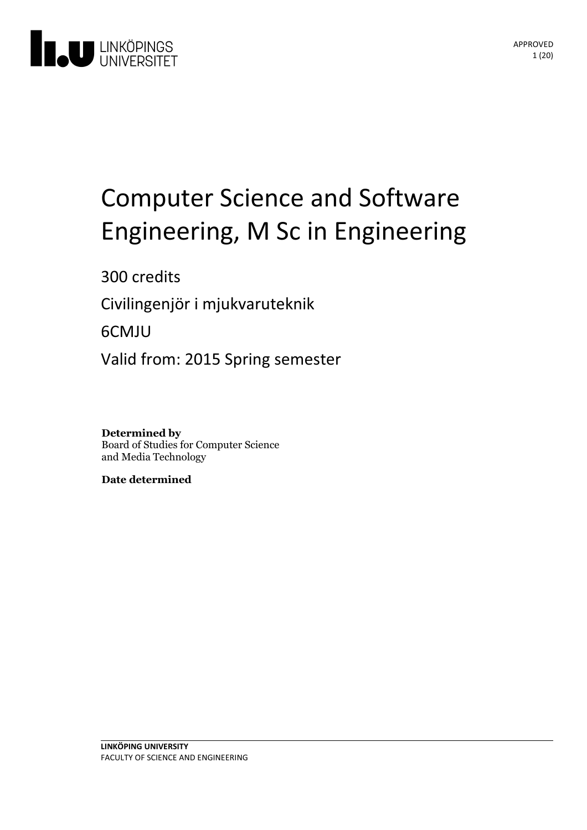

# Computer Science and Software Engineering, M Sc in Engineering

300 credits

Civilingenjör i mjukvaruteknik

6CMJU

Valid from: 2015 Spring semester

**Determined by** Board of Studies for Computer Science and Media Technology

**Date determined**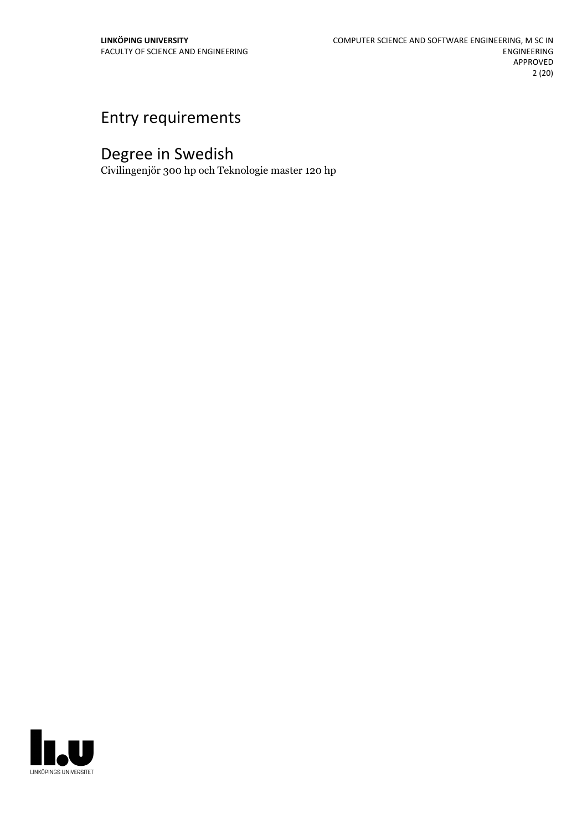## Entry requirements

## Degree in Swedish

Civilingenjör 300 hp och Teknologie master 120 hp

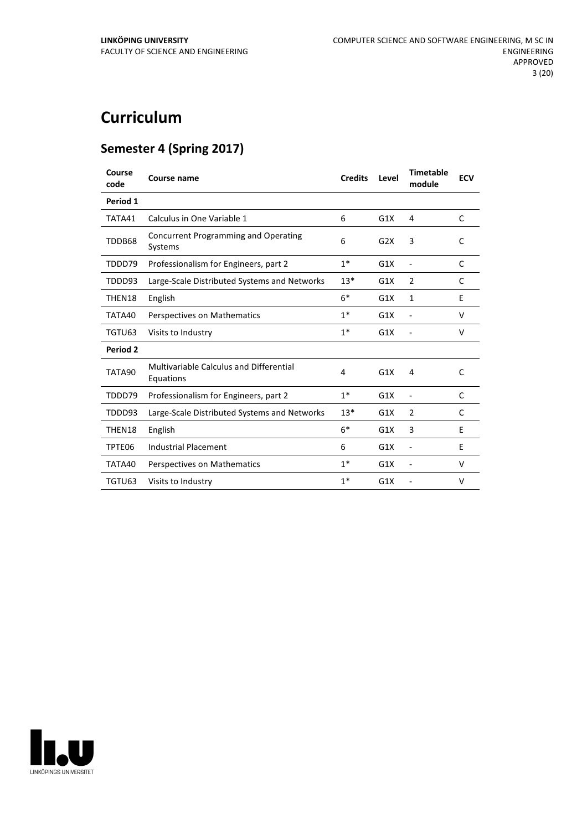## **Curriculum**

### **Semester 4 (Spring 2017)**

| Course<br>code | Course name                                          | <b>Credits</b> | Level | <b>Timetable</b><br>module | <b>ECV</b> |
|----------------|------------------------------------------------------|----------------|-------|----------------------------|------------|
| Period 1       |                                                      |                |       |                            |            |
| TATA41         | Calculus in One Variable 1                           | 6              | G1X   | 4                          | C          |
| TDDB68         | Concurrent Programming and Operating<br>Systems      | 6              | G2X   | 3                          | C          |
| TDDD79         | Professionalism for Engineers, part 2                | $1*$           | G1X   | $\frac{1}{2}$              | C          |
| TDDD93         | Large-Scale Distributed Systems and Networks         | $13*$          | G1X   | $\overline{2}$             | C          |
| THEN18         | English                                              | $6*$           | G1X   | 1                          | E          |
| TATA40         | Perspectives on Mathematics                          | $1*$           | G1X   | $\overline{a}$             | V          |
| TGTU63         | Visits to Industry                                   | $1*$           | G1X   | L,                         | V          |
| Period 2       |                                                      |                |       |                            |            |
| TATA90         | Multivariable Calculus and Differential<br>Equations | 4              | G1X   | 4                          | C          |
| TDDD79         | Professionalism for Engineers, part 2                | $1*$           | G1X   | $\overline{a}$             | C          |
| TDDD93         | Large-Scale Distributed Systems and Networks         | $13*$          | G1X   | $\overline{2}$             | C          |
| THEN18         | English                                              | $6*$           | G1X   | 3                          | E          |
| TPTE06         | <b>Industrial Placement</b>                          | 6              | G1X   | $\overline{a}$             | E          |
| TATA40         | Perspectives on Mathematics                          | $1*$           | G1X   |                            | V          |
| TGTU63         | Visits to Industry                                   | $1*$           | G1X   |                            | V          |

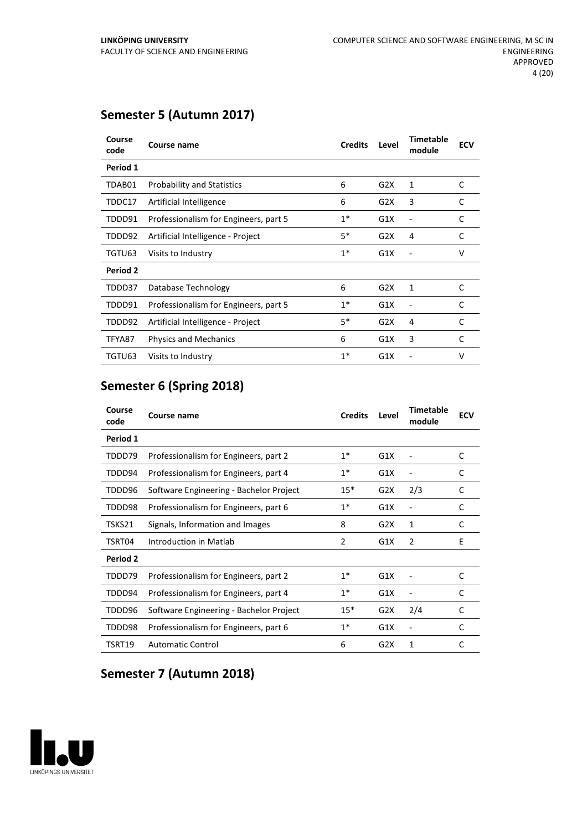## **Semester 5 (Autumn 2017)**

| Course<br>code | <b>Course name</b>                    | <b>Credits</b> | Level | <b>Timetable</b><br>module | <b>ECV</b> |
|----------------|---------------------------------------|----------------|-------|----------------------------|------------|
| Period 1       |                                       |                |       |                            |            |
| TDAB01         | <b>Probability and Statistics</b>     | 6              | G2X   | 1                          | C          |
| TDDC17         | Artificial Intelligence               | 6              | G2X   | 3                          | C          |
| TDDD91         | Professionalism for Engineers, part 5 | $1^*$          | G1X   |                            | C          |
| TDDD92         | Artificial Intelligence - Project     | $5*$           | G2X   | 4                          | C          |
| TGTU63         | Visits to Industry                    | $1^*$          | G1X   |                            | v          |
| Period 2       |                                       |                |       |                            |            |
| TDDD37         | Database Technology                   | 6              | G2X   | 1                          | C          |
| TDDD91         | Professionalism for Engineers, part 5 | $1^*$          | G1X   |                            | C          |
| TDDD92         | Artificial Intelligence - Project     | $5*$           | G2X   | 4                          | C          |
| TFYA87         | <b>Physics and Mechanics</b>          | 6              | G1X   | 3                          | C          |
| TGTU63         | Visits to Industry                    | $1^*$          | G1X   |                            | v          |

### **Semester 6 (Spring 2018)**

| Course<br>code | Course name                             | <b>Credits</b> | Level | <b>Timetable</b><br>module | <b>ECV</b> |
|----------------|-----------------------------------------|----------------|-------|----------------------------|------------|
| Period 1       |                                         |                |       |                            |            |
| TDDD79         | Professionalism for Engineers, part 2   | $1^*$          | G1X   |                            | C          |
| TDDD94         | Professionalism for Engineers, part 4   | $1*$           | G1X   |                            | C          |
| TDDD96         | Software Engineering - Bachelor Project | $15*$          | G2X   | 2/3                        | C          |
| TDDD98         | Professionalism for Engineers, part 6   | $1*$           | G1X   |                            | C          |
| TSKS21         | Signals, Information and Images         | 8              | G2X   | 1                          | C          |
| TSRT04         | Introduction in Matlab                  | 2              | G1X   | $\overline{2}$             | F          |
| Period 2       |                                         |                |       |                            |            |
| TDDD79         | Professionalism for Engineers, part 2   | $1*$           | G1X   |                            | C          |
| TDDD94         | Professionalism for Engineers, part 4   | $1*$           | G1X   |                            | C          |
| TDDD96         | Software Engineering - Bachelor Project | $15*$          | G2X   | 2/4                        | C          |
| TDDD98         | Professionalism for Engineers, part 6   | $1*$           | G1X   |                            | C          |
| TSRT19         | <b>Automatic Control</b>                | 6              | G2X   | 1                          | C          |

## **Semester 7 (Autumn 2018)**

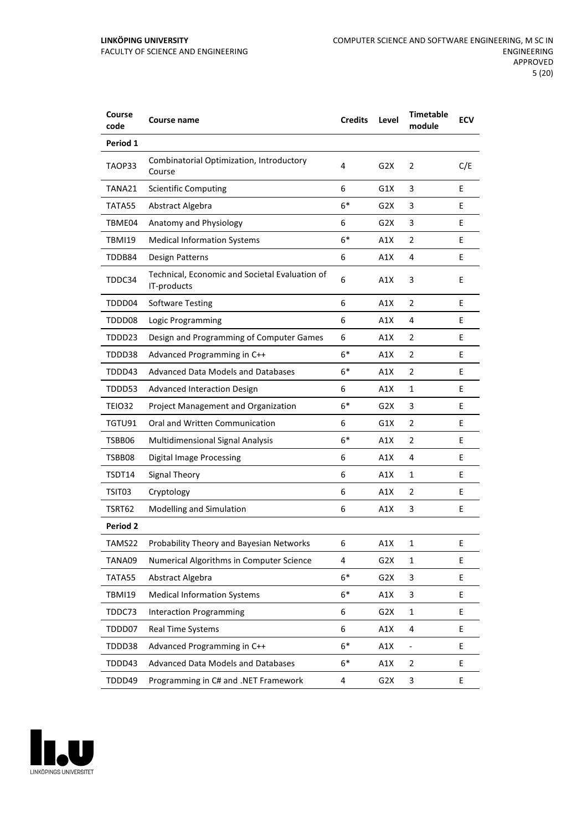#### **LINKÖPING UNIVERSITY** FACULTY OF SCIENCE AND ENGINEERING

| Course<br>code  | Course name                                                   | <b>Credits</b> | Level            | <b>Timetable</b><br>module | <b>ECV</b> |
|-----------------|---------------------------------------------------------------|----------------|------------------|----------------------------|------------|
| Period 1        |                                                               |                |                  |                            |            |
| TAOP33          | Combinatorial Optimization, Introductory<br>Course            | 4              | G2X              | 2                          | C/E        |
| TANA21          | <b>Scientific Computing</b>                                   | 6              | G1X              | 3                          | E          |
| TATA55          | Abstract Algebra                                              | $6*$           | G <sub>2</sub> X | 3                          | E          |
| TBME04          | Anatomy and Physiology                                        | 6              | G2X              | 3                          | E          |
| TBMI19          | <b>Medical Information Systems</b>                            | $6*$           | A1X              | 2                          | E          |
| TDDB84          | Design Patterns                                               | 6              | A1X              | 4                          | E          |
| TDDC34          | Technical, Economic and Societal Evaluation of<br>IT-products | 6              | A1X              | 3                          | E          |
| TDDD04          | <b>Software Testing</b>                                       | 6              | A1X              | 2                          | E          |
| TDDD08          | Logic Programming                                             | 6              | A1X              | 4                          | E          |
| TDDD23          | Design and Programming of Computer Games                      | 6              | A1X              | 2                          | E          |
| TDDD38          | Advanced Programming in C++                                   | $6*$           | A1X              | 2                          | E          |
| TDDD43          | <b>Advanced Data Models and Databases</b>                     | 6*             | A1X              | 2                          | E          |
| TDDD53          | <b>Advanced Interaction Design</b>                            | 6              | A1X              | 1                          | E          |
| TEIO32          | Project Management and Organization                           | $6*$           | G2X              | 3                          | E          |
| TGTU91          | Oral and Written Communication                                | 6              | G1X              | $\overline{2}$             | E.         |
| TSBB06          | <b>Multidimensional Signal Analysis</b>                       | $6*$           | A1X              | 2                          | E.         |
| TSBB08          | <b>Digital Image Processing</b>                               | 6              | A1X              | 4                          | E          |
| TSDT14          | <b>Signal Theory</b>                                          | 6              | A1X              | 1                          | E          |
| TSIT03          | Cryptology                                                    | 6              | A1X              | 2                          | E.         |
| TSRT62          | Modelling and Simulation                                      | 6              | A1X              | 3                          | E          |
| <b>Period 2</b> |                                                               |                |                  |                            |            |
| TAMS22          | Probability Theory and Bayesian Networks                      | 6              | A1X              | $\mathbf{1}$               | E          |
| TANA09          | Numerical Algorithms in Computer Science                      | 4              | G <sub>2</sub> X | 1                          | Ε          |
| TATA55          | Abstract Algebra                                              | $6*$           | G <sub>2</sub> X | 3                          | E          |
| <b>TBMI19</b>   | <b>Medical Information Systems</b>                            | $6*$           | A1X              | 3                          | E.         |
| TDDC73          | <b>Interaction Programming</b>                                | 6              | G <sub>2</sub> X | $\mathbf{1}$               | E          |
| TDDD07          | Real Time Systems                                             | 6              | A1X              | 4                          | E          |
| TDDD38          | Advanced Programming in C++                                   | $6*$           | A1X              | $\overline{\phantom{0}}$   | E          |
| TDDD43          | Advanced Data Models and Databases                            | $6*$           | A1X              | $\overline{2}$             | E          |
| TDDD49          | Programming in C# and .NET Framework                          | 4              | G <sub>2</sub> X | 3                          | E          |

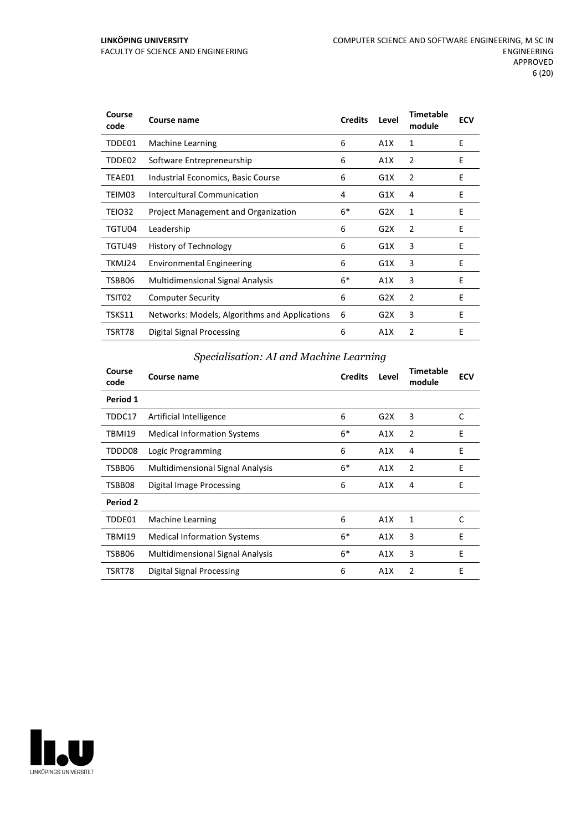| Course<br>code | Course name                                   | <b>Credits</b> | Level | <b>Timetable</b><br>module | <b>ECV</b> |
|----------------|-----------------------------------------------|----------------|-------|----------------------------|------------|
| TDDE01         | Machine Learning                              | 6              | A1X   | 1                          | E          |
| TDDE02         | Software Entrepreneurship                     | 6              | A1X   | 2                          | E          |
| TEAE01         | Industrial Economics, Basic Course            | 6              | G1X   | 2                          | E          |
| TEIM03         | Intercultural Communication                   | 4              | G1X   | 4                          | E          |
| TEIO32         | <b>Project Management and Organization</b>    | $6*$           | G2X   | 1                          | E          |
| TGTU04         | Leadership                                    | 6              | G2X   | 2                          | E          |
| TGTU49         | <b>History of Technology</b>                  | 6              | G1X   | 3                          | E          |
| TKMJ24         | <b>Environmental Engineering</b>              | 6              | G1X   | 3                          | E          |
| TSBB06         | <b>Multidimensional Signal Analysis</b>       | $6*$           | A1X   | 3                          | E          |
| TSIT02         | <b>Computer Security</b>                      | 6              | G2X   | 2                          | E          |
| TSKS11         | Networks: Models, Algorithms and Applications | 6              | G2X   | 3                          | E          |
| TSRT78         | Digital Signal Processing                     | 6              | A1X   | 2                          | E          |

#### *Specialisation: AI and Machine Learning*

| Course<br>code | Course name                             | <b>Credits</b> | Level | <b>Timetable</b><br>module | <b>ECV</b> |
|----------------|-----------------------------------------|----------------|-------|----------------------------|------------|
| Period 1       |                                         |                |       |                            |            |
| TDDC17         | Artificial Intelligence                 | 6              | G2X   | 3                          | C          |
| TBMI19         | <b>Medical Information Systems</b>      | $6*$           | A1X   | 2                          | Ε          |
| TDDD08         | Logic Programming                       | 6              | A1X   | 4                          | E          |
| TSBB06         | <b>Multidimensional Signal Analysis</b> | $6*$           | A1X   | 2                          | Ε          |
| TSBB08         | Digital Image Processing                | 6              | A1X   | 4                          | E          |
| Period 2       |                                         |                |       |                            |            |
| TDDE01         | <b>Machine Learning</b>                 | 6              | A1X   | 1                          | C          |
| <b>TBMI19</b>  | <b>Medical Information Systems</b>      | $6*$           | A1X   | 3                          | E          |
| TSBB06         | <b>Multidimensional Signal Analysis</b> | $6*$           | A1X   | 3                          | E          |
| TSRT78         | Digital Signal Processing               | 6              | A1X   | 2                          | E          |

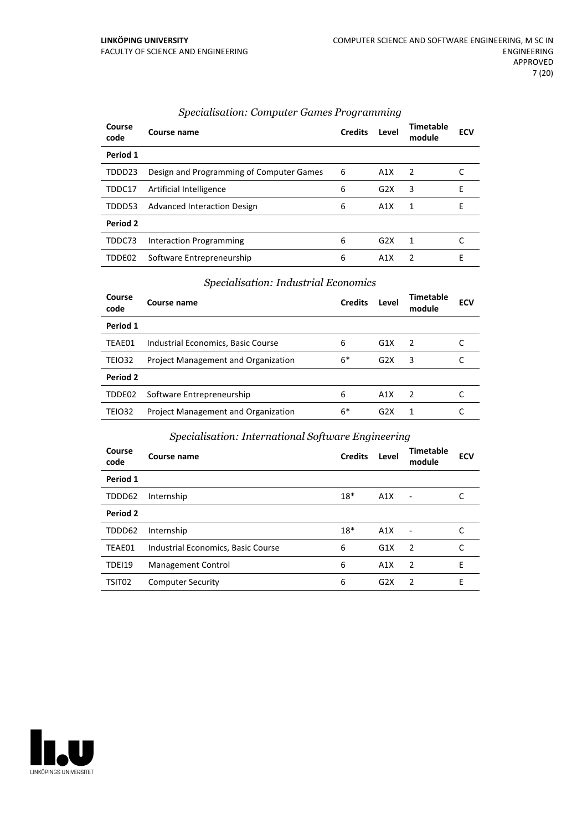| Course<br>code | Course name                              | <b>Credits</b> | Level            | <b>Timetable</b><br>module | <b>ECV</b> |
|----------------|------------------------------------------|----------------|------------------|----------------------------|------------|
| Period 1       |                                          |                |                  |                            |            |
| TDDD23         | Design and Programming of Computer Games | 6              | A1X              | $\mathcal{P}$              |            |
| TDDC17         | Artificial Intelligence                  | 6              | G2X              | 3                          | Е          |
| TDDD53         | <b>Advanced Interaction Design</b>       | 6              | A1X              | 1                          | F          |
| Period 2       |                                          |                |                  |                            |            |
| TDDC73         | Interaction Programming                  | 6              | G2X              | 1                          |            |
| TDDE02         | Software Entrepreneurship                | 6              | A <sub>1</sub> X | $\mathcal{P}$              | E          |

#### *Specialisation: Computer Games Programming*

#### *Specialisation: Industrial Economics*

| Course<br>code | Course name                                | <b>Credits</b> | Level | <b>Timetable</b><br>module | <b>ECV</b> |
|----------------|--------------------------------------------|----------------|-------|----------------------------|------------|
| Period 1       |                                            |                |       |                            |            |
| TEAE01         | Industrial Economics, Basic Course         | 6              | G1X   | $\mathcal{P}$              |            |
| <b>TEIO32</b>  | Project Management and Organization        | $6*$           | G2X   | 3                          |            |
| Period 2       |                                            |                |       |                            |            |
| TDDE02         | Software Entrepreneurship                  | 6              | A1X   | $\mathcal{P}$              |            |
| TEIO32         | <b>Project Management and Organization</b> | $6*$           | G2X   | 1                          |            |

#### *Specialisation: International Software Engineering*

| Course<br>code     | Course name                        | <b>Credits</b> | Level            | <b>Timetable</b><br>module | <b>ECV</b> |
|--------------------|------------------------------------|----------------|------------------|----------------------------|------------|
| Period 1           |                                    |                |                  |                            |            |
| TDDD62             | Internship                         | $18*$          | A1X              | $\overline{\phantom{a}}$   |            |
| Period 2           |                                    |                |                  |                            |            |
| TDDD62             | Internship                         | $18*$          | A1X              |                            |            |
| TEAE01             | Industrial Economics, Basic Course | 6              | G1X              | $\overline{2}$             | C          |
| TDEI19             | Management Control                 | 6              | A1X              | $\overline{2}$             | E          |
| TSIT <sub>02</sub> | <b>Computer Security</b>           | 6              | G <sub>2</sub> X | 2                          | Е          |

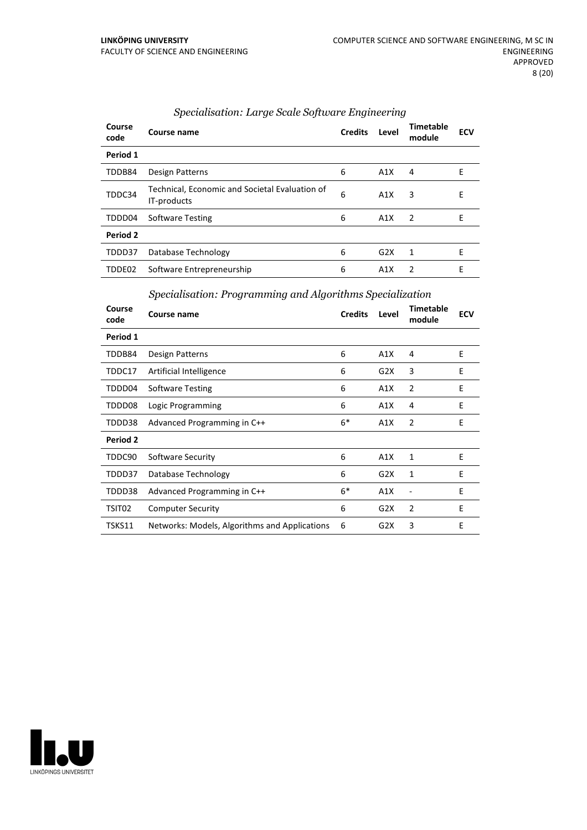| Course<br>code | <b>Course name</b>                                            | <b>Credits</b> | Level | <b>Timetable</b><br>module | <b>ECV</b> |
|----------------|---------------------------------------------------------------|----------------|-------|----------------------------|------------|
| Period 1       |                                                               |                |       |                            |            |
| TDDB84         | Design Patterns                                               | 6              | A1X   | 4                          | E          |
| TDDC34         | Technical, Economic and Societal Evaluation of<br>IT-products | 6              | A1X   | 3                          | E          |
| TDDD04         | <b>Software Testing</b>                                       | 6              | A1X   | 2                          | E          |
| Period 2       |                                                               |                |       |                            |            |
| TDDD37         | Database Technology                                           | 6              | G2X   | 1                          | E          |
| TDDE02         | Software Entrepreneurship                                     | 6              | A1X   | 2                          | E          |

#### *Specialisation: Large Scale Software Engineering*

*Specialisation: Programming and Algorithms Specialization*

| Course<br>code | Course name                                   | <b>Credits</b> | Level | <b>Timetable</b><br>module | <b>ECV</b> |
|----------------|-----------------------------------------------|----------------|-------|----------------------------|------------|
| Period 1       |                                               |                |       |                            |            |
| TDDB84         | Design Patterns                               | 6              | A1X   | 4                          | E          |
| TDDC17         | Artificial Intelligence                       | 6              | G2X   | 3                          | E          |
| TDDD04         | Software Testing                              | 6              | A1X   | $\overline{2}$             | E          |
| TDDD08         | Logic Programming                             | 6              | A1X   | 4                          | E          |
| TDDD38         | Advanced Programming in C++                   | $6*$           | A1X   | 2                          | E          |
| Period 2       |                                               |                |       |                            |            |
| TDDC90         | Software Security                             | 6              | A1X   | $\mathbf{1}$               | E          |
| TDDD37         | Database Technology                           | 6              | G2X   | 1                          | E          |
| TDDD38         | Advanced Programming in C++                   | $6*$           | A1X   |                            | E          |
| TSIT02         | <b>Computer Security</b>                      | 6              | G2X   | $\overline{2}$             | E          |
| TSKS11         | Networks: Models, Algorithms and Applications | 6              | G2X   | 3                          | E          |

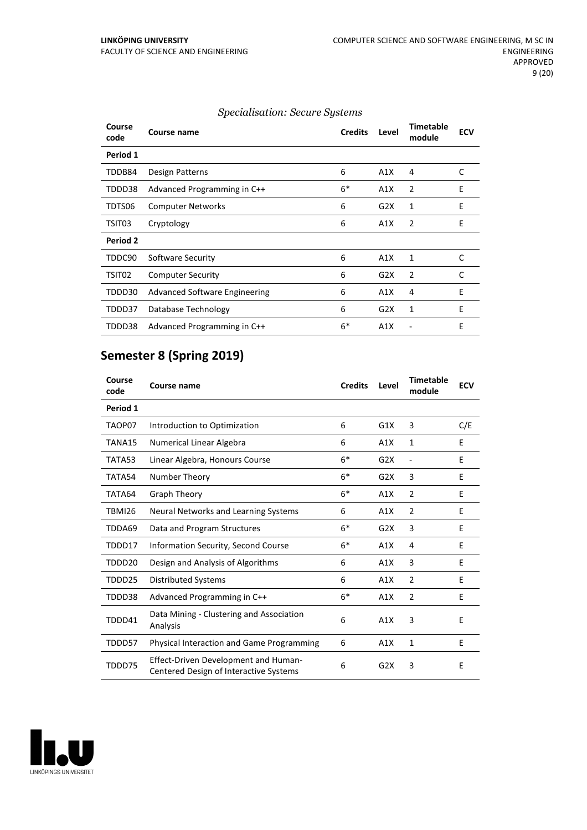| Course<br>code | Course name                          | <b>Credits</b> | Level | <b>Timetable</b><br>module | <b>ECV</b> |
|----------------|--------------------------------------|----------------|-------|----------------------------|------------|
| Period 1       |                                      |                |       |                            |            |
| TDDB84         | Design Patterns                      | 6              | A1X   | 4                          | C          |
| TDDD38         | Advanced Programming in C++          | $6*$           | A1X   | 2                          | E          |
| TDTS06         | <b>Computer Networks</b>             | 6              | G2X   | 1                          | E          |
| TSIT03         | Cryptology                           | 6              | A1X   | $\overline{2}$             | E          |
| Period 2       |                                      |                |       |                            |            |
| TDDC90         | Software Security                    | 6              | A1X   | 1                          | C          |
| TSIT02         | <b>Computer Security</b>             | 6              | G2X   | 2                          | C          |
| TDDD30         | <b>Advanced Software Engineering</b> | 6              | A1X   | 4                          | E          |
| TDDD37         | Database Technology                  | 6              | G2X   | 1                          | E          |
| TDDD38         | Advanced Programming in C++          | $6*$           | A1X   |                            | E          |

#### *Specialisation: Secure Systems*

### **Semester 8 (Spring 2019)**

| Course<br>code | Course name                                                                           | <b>Credits</b> | Level | <b>Timetable</b><br>module | <b>ECV</b> |
|----------------|---------------------------------------------------------------------------------------|----------------|-------|----------------------------|------------|
| Period 1       |                                                                                       |                |       |                            |            |
| TAOP07         | Introduction to Optimization                                                          | 6              | G1X   | 3                          | C/E        |
| TANA15         | Numerical Linear Algebra                                                              | 6              | A1X   | 1                          | E          |
| TATA53         | Linear Algebra, Honours Course                                                        | $6*$           | G2X   | $\overline{\phantom{a}}$   | E          |
| TATA54         | Number Theory                                                                         | $6*$           | G2X   | 3                          | E          |
| TATA64         | Graph Theory                                                                          | $6*$           | A1X   | $\overline{2}$             | E          |
| <b>TBMI26</b>  | Neural Networks and Learning Systems                                                  | 6              | A1X   | 2                          | E          |
| TDDA69         | Data and Program Structures                                                           | $6*$           | G2X   | 3                          | E          |
| TDDD17         | Information Security, Second Course                                                   | $6*$           | A1X   | 4                          | E          |
| TDDD20         | Design and Analysis of Algorithms                                                     | 6              | A1X   | 3                          | E          |
| TDDD25         | <b>Distributed Systems</b>                                                            | 6              | A1X   | 2                          | E          |
| TDDD38         | Advanced Programming in C++                                                           | $6*$           | A1X   | $\overline{2}$             | E          |
| TDDD41         | Data Mining - Clustering and Association<br>Analysis                                  | 6              | A1X   | 3                          | E          |
| TDDD57         | <b>Physical Interaction and Game Programming</b>                                      | 6              | A1X   | $\mathbf{1}$               | E          |
| TDDD75         | <b>Effect-Driven Development and Human-</b><br>Centered Design of Interactive Systems | 6              | G2X   | 3                          | E          |

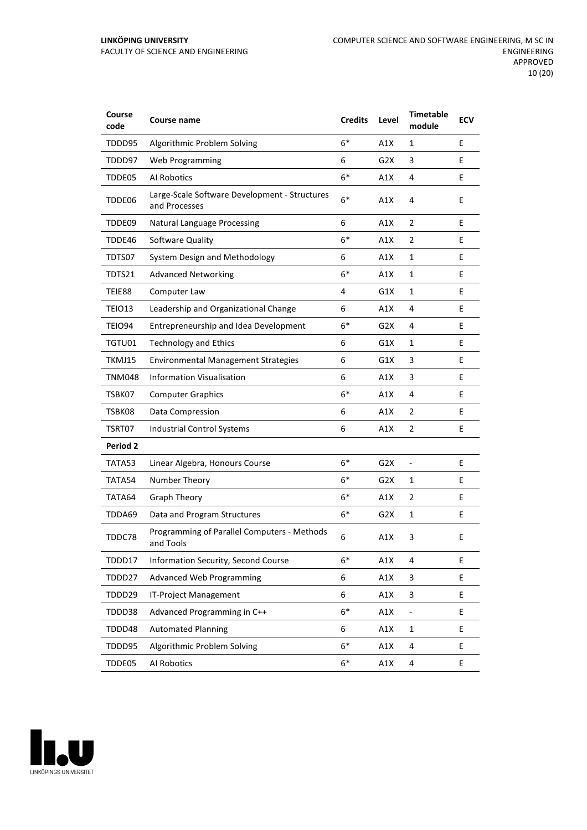#### **LINKÖPING UNIVERSITY** FACULTY OF SCIENCE AND ENGINEERING

| Course<br>code  | Course name                                                    | <b>Credits</b> | Level            | <b>Timetable</b><br>module | <b>ECV</b> |
|-----------------|----------------------------------------------------------------|----------------|------------------|----------------------------|------------|
| TDDD95          | Algorithmic Problem Solving                                    | $6*$           | A1X              | 1                          | E          |
| TDDD97          | Web Programming                                                | 6              | G2X              | 3                          | E          |
| TDDE05          | Al Robotics                                                    | $6*$           | A1X              | 4                          | E          |
| TDDE06          | Large-Scale Software Development - Structures<br>and Processes | $6*$           | A1X              | 4                          | E          |
| TDDE09          | <b>Natural Language Processing</b>                             | 6              | A1X              | 2                          | E          |
| TDDE46          | Software Quality                                               | $6*$           | A1X              | 2                          | E          |
| TDTS07          | System Design and Methodology                                  | 6              | A1X              | $\mathbf{1}$               | E          |
| TDTS21          | <b>Advanced Networking</b>                                     | $6*$           | A1X              | $\mathbf{1}$               | E          |
| TEIE88          | Computer Law                                                   | 4              | G1X              | $\mathbf{1}$               | E          |
| TEIO13          | Leadership and Organizational Change                           | 6              | A1X              | 4                          | E          |
| <b>TEIO94</b>   | Entrepreneurship and Idea Development                          | $6*$           | G <sub>2</sub> X | 4                          | E          |
| TGTU01          | <b>Technology and Ethics</b>                                   | 6              | G1X              | 1                          | E          |
| TKMJ15          | <b>Environmental Management Strategies</b>                     | 6              | G1X              | 3                          | E          |
| <b>TNM048</b>   | <b>Information Visualisation</b>                               | 6              | A1X              | 3                          | E          |
| TSBK07          | <b>Computer Graphics</b>                                       | $6*$           | A1X              | 4                          | E          |
| TSBK08          | Data Compression                                               | 6              | A1X              | $\overline{2}$             | E          |
| TSRT07          | Industrial Control Systems                                     | 6              | A1X              | $\overline{2}$             | E          |
| <b>Period 2</b> |                                                                |                |                  |                            |            |
| TATA53          | Linear Algebra, Honours Course                                 | $6*$           | G <sub>2</sub> X | ÷,                         | E          |
| TATA54          | Number Theory                                                  | $6*$           | G2X              | 1                          | E          |
| TATA64          | <b>Graph Theory</b>                                            | $6*$           | A1X              | $\overline{2}$             | E          |
| TDDA69          | Data and Program Structures                                    | $6*$           | G2X              | 1                          | E          |
| TDDC78          | Programming of Parallel Computers - Methods<br>and Tools       | 6              | A1X              | 3                          | E          |
| TDDD17          | Information Security, Second Course                            | $6*$           | A1X              | 4                          | E          |
| TDDD27          | <b>Advanced Web Programming</b>                                | 6              | A1X              | 3                          | E          |
| TDDD29          | IT-Project Management                                          | 6              | A1X              | 3                          | E.         |
| TDDD38          | Advanced Programming in C++                                    | $6*$           | A1X              | $\blacksquare$             | E.         |
| TDDD48          | <b>Automated Planning</b>                                      | 6              | A1X              | $\mathbf{1}$               | E          |
| TDDD95          | Algorithmic Problem Solving                                    | $6*$           | A1X              | 4                          | E.         |
| TDDE05          | Al Robotics                                                    | 6*             | A1X              | 4                          | E          |

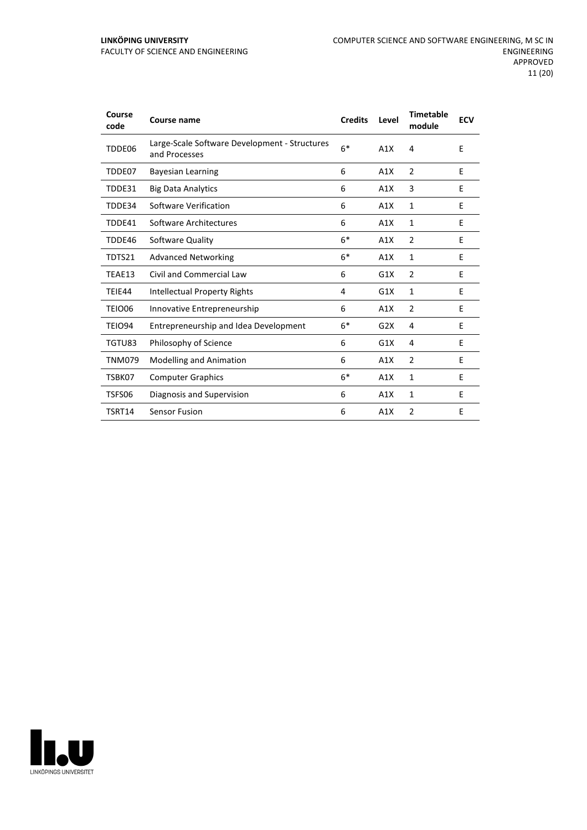#### **LINKÖPING UNIVERSITY** FACULTY OF SCIENCE AND ENGINEERING

| Course<br>code | <b>Course name</b>                                             | <b>Credits</b> | Level | <b>Timetable</b><br>module | <b>ECV</b> |
|----------------|----------------------------------------------------------------|----------------|-------|----------------------------|------------|
| TDDE06         | Large-Scale Software Development - Structures<br>and Processes | $6*$           | A1X   | 4                          | E          |
| TDDE07         | <b>Bayesian Learning</b>                                       | 6              | A1X   | $\overline{2}$             | E          |
| TDDE31         | <b>Big Data Analytics</b>                                      | 6              | A1X   | 3                          | E          |
| TDDE34         | Software Verification                                          | 6              | A1X   | $\mathbf{1}$               | Ε          |
| TDDE41         | Software Architectures                                         | 6              | A1X   | $\mathbf{1}$               | E          |
| TDDE46         | Software Quality                                               | $6*$           | A1X   | $\overline{2}$             | E          |
| TDTS21         | <b>Advanced Networking</b>                                     | $6*$           | A1X   | $\mathbf{1}$               | E          |
| TEAE13         | Civil and Commercial Law                                       | 6              | G1X   | $\overline{2}$             | E          |
| TEIE44         | Intellectual Property Rights                                   | 4              | G1X   | $\mathbf{1}$               | E          |
| TEIO06         | Innovative Entrepreneurship                                    | 6              | A1X   | $\overline{2}$             | E          |
| TEIO94         | Entrepreneurship and Idea Development                          | $6*$           | G2X   | 4                          | E          |
| TGTU83         | Philosophy of Science                                          | 6              | G1X   | 4                          | E          |
| <b>TNM079</b>  | <b>Modelling and Animation</b>                                 | 6              | A1X   | $\overline{2}$             | E          |
| TSBK07         | <b>Computer Graphics</b>                                       | $6*$           | A1X   | $\mathbf{1}$               | E          |
| TSFS06         | Diagnosis and Supervision                                      | 6              | A1X   | $\mathbf{1}$               | E          |
| TSRT14         | <b>Sensor Fusion</b>                                           | 6              | A1X   | 2                          | Ε          |

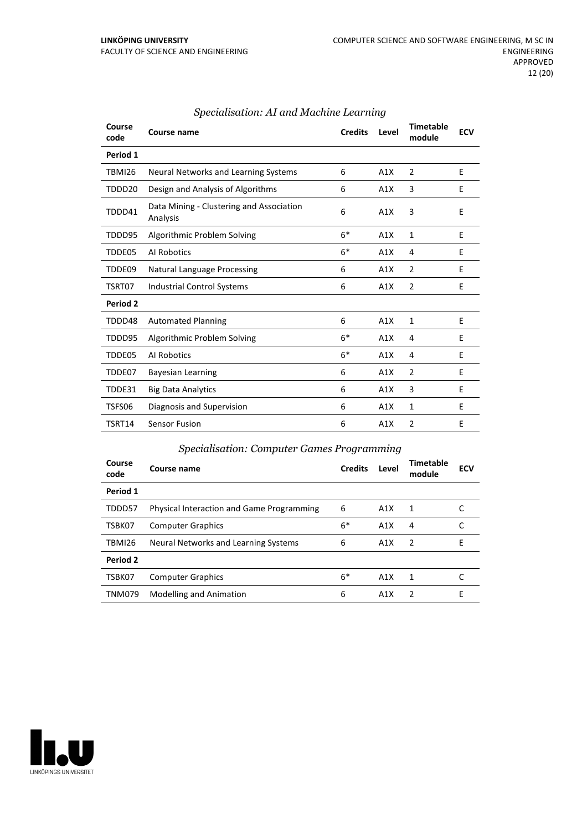| Course<br>code | Course name                                          | <b>Credits</b> | Level | <b>Timetable</b><br>module | <b>ECV</b> |
|----------------|------------------------------------------------------|----------------|-------|----------------------------|------------|
| Period 1       |                                                      |                |       |                            |            |
| <b>TBMI26</b>  | Neural Networks and Learning Systems                 | 6              | A1X   | 2                          | E          |
| TDDD20         | Design and Analysis of Algorithms                    | 6              | A1X   | 3                          | E          |
| TDDD41         | Data Mining - Clustering and Association<br>Analysis | 6              | A1X   | 3                          | E          |
| TDDD95         | Algorithmic Problem Solving                          | $6*$           | A1X   | 1                          | E          |
| TDDE05         | Al Robotics                                          | $6*$           | A1X   | 4                          | E          |
| TDDE09         | <b>Natural Language Processing</b>                   | 6              | A1X   | 2                          | E          |
| TSRT07         | <b>Industrial Control Systems</b>                    | 6              | A1X   | $\overline{2}$             | E          |
| Period 2       |                                                      |                |       |                            |            |
| TDDD48         | <b>Automated Planning</b>                            | 6              | A1X   | 1                          | E          |
| TDDD95         | Algorithmic Problem Solving                          | $6*$           | A1X   | 4                          | E          |
| TDDE05         | Al Robotics                                          | $6*$           | A1X   | 4                          | E          |
| TDDE07         | <b>Bayesian Learning</b>                             | 6              | A1X   | 2                          | E          |
| TDDE31         | <b>Big Data Analytics</b>                            | 6              | A1X   | 3                          | E          |
| TSFS06         | Diagnosis and Supervision                            | 6              | A1X   | $\mathbf{1}$               | E          |
| TSRT14         | <b>Sensor Fusion</b>                                 | 6              | A1X   | $\overline{2}$             | E          |

#### *Specialisation: AI and Machine Learning*

#### *Specialisation: Computer Games Programming*

| Course<br>code  | Course name                                      | <b>Credits</b> | Level | <b>Timetable</b><br>module | <b>ECV</b> |
|-----------------|--------------------------------------------------|----------------|-------|----------------------------|------------|
| Period 1        |                                                  |                |       |                            |            |
| TDDD57          | <b>Physical Interaction and Game Programming</b> | 6              | A1X   | 1                          |            |
| TSBK07          | <b>Computer Graphics</b>                         | 6*             | A1X   | 4                          |            |
| TBMI26          | Neural Networks and Learning Systems             | 6              | A1X   | 2                          | F          |
| <b>Period 2</b> |                                                  |                |       |                            |            |
| TSBK07          | <b>Computer Graphics</b>                         | 6*             | A1X   | 1                          |            |
| <b>TNM079</b>   | <b>Modelling and Animation</b>                   | 6              | A1X   | $\mathcal{P}$              | Е          |

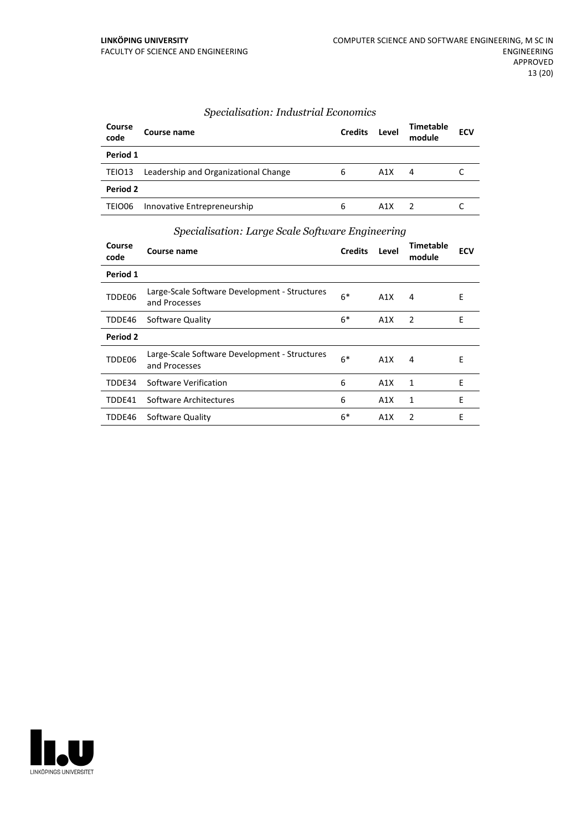#### *Specialisation: Industrial Economics*

| Course<br>code | Course name                          | <b>Credits</b> | Level | <b>Timetable</b><br>module | <b>ECV</b> |
|----------------|--------------------------------------|----------------|-------|----------------------------|------------|
| Period 1       |                                      |                |       |                            |            |
| TEIO13         | Leadership and Organizational Change | 6              | A1X   | 4                          |            |
| Period 2       |                                      |                |       |                            |            |
| TEIO06         | Innovative Entrepreneurship          | 6              | A1X   |                            |            |

## *Specialisation: Large Scale Software Engineering*

| Course<br>code | Course name                                                    | <b>Credits</b> | Level | <b>Timetable</b><br>module | <b>ECV</b> |
|----------------|----------------------------------------------------------------|----------------|-------|----------------------------|------------|
| Period 1       |                                                                |                |       |                            |            |
| TDDE06         | Large-Scale Software Development - Structures<br>and Processes | $6*$           | A1X   | 4                          | Е          |
| TDDE46         | Software Quality                                               | $6*$           | A1X   | 2                          | E          |
| Period 2       |                                                                |                |       |                            |            |
| TDDE06         | Large-Scale Software Development - Structures<br>and Processes | $6*$           | A1X   | 4                          | E          |
| TDDE34         | Software Verification                                          | 6              | A1X   | 1                          | E          |
| TDDE41         | Software Architectures                                         | 6              | A1X   | 1                          | E          |
| TDDE46         | Software Quality                                               | $6*$           | A1X   | 2                          | E          |

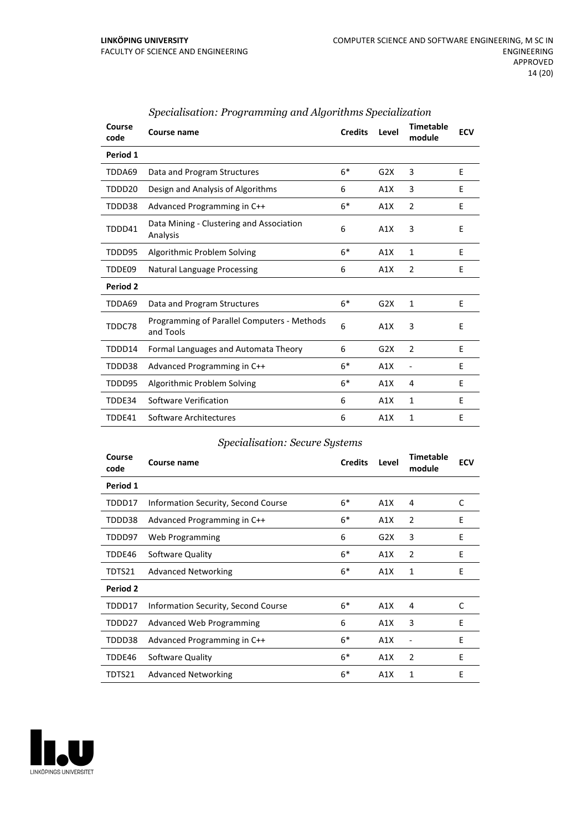| Course<br>code | Course name                                              | <b>Credits</b> | Level | <b>Timetable</b><br>module | <b>ECV</b> |
|----------------|----------------------------------------------------------|----------------|-------|----------------------------|------------|
| Period 1       |                                                          |                |       |                            |            |
| TDDA69         | Data and Program Structures                              | $6*$           | G2X   | 3                          | E          |
| TDDD20         | Design and Analysis of Algorithms                        | 6              | A1X   | 3                          | E          |
| TDDD38         | Advanced Programming in C++                              | $6*$           | A1X   | $\overline{2}$             | E          |
| TDDD41         | Data Mining - Clustering and Association<br>Analysis     | 6              | A1X   | 3                          | E          |
| TDDD95         | Algorithmic Problem Solving                              | $6*$           | A1X   | $\mathbf{1}$               | E          |
| TDDE09         | <b>Natural Language Processing</b>                       | 6              | A1X   | 2                          | E          |
| Period 2       |                                                          |                |       |                            |            |
| TDDA69         | Data and Program Structures                              | $6*$           | G2X   | $\mathbf{1}$               | E          |
| TDDC78         | Programming of Parallel Computers - Methods<br>and Tools | 6              | A1X   | 3                          | E          |
| TDDD14         | Formal Languages and Automata Theory                     | 6              | G2X   | $\overline{2}$             | E          |
| TDDD38         | Advanced Programming in C++                              | $6*$           | A1X   | $\overline{a}$             | E          |
| TDDD95         | Algorithmic Problem Solving                              | $6*$           | A1X   | 4                          | E          |
| TDDE34         | Software Verification                                    | 6              | A1X   | 1                          | E          |
| TDDE41         | Software Architectures                                   | 6              | A1X   | 1                          | E          |

#### *Specialisation: Programming and Algorithms Specialization*

#### *Specialisation: Secure Systems*

| Course<br>code | Course name                         | <b>Credits</b> | Level | <b>Timetable</b><br>module | <b>ECV</b> |
|----------------|-------------------------------------|----------------|-------|----------------------------|------------|
| Period 1       |                                     |                |       |                            |            |
| TDDD17         | Information Security, Second Course | $6*$           | A1X   | 4                          | C          |
| TDDD38         | Advanced Programming in C++         | $6*$           | A1X   | 2                          | E          |
| TDDD97         | Web Programming                     | 6              | G2X   | 3                          | E          |
| TDDE46         | Software Quality                    | $6*$           | A1X   | 2                          | E          |
| TDTS21         | <b>Advanced Networking</b>          | $6*$           | A1X   | 1                          | E          |
| Period 2       |                                     |                |       |                            |            |
| TDDD17         | Information Security, Second Course | $6*$           | A1X   | 4                          | C          |
| TDDD27         | <b>Advanced Web Programming</b>     | 6              | A1X   | 3                          | E          |
| TDDD38         | Advanced Programming in C++         | $6*$           | A1X   |                            | E          |
| TDDE46         | Software Quality                    | $6*$           | A1X   | 2                          | E          |
| TDTS21         | <b>Advanced Networking</b>          | $6*$           | A1X   | 1                          | E          |

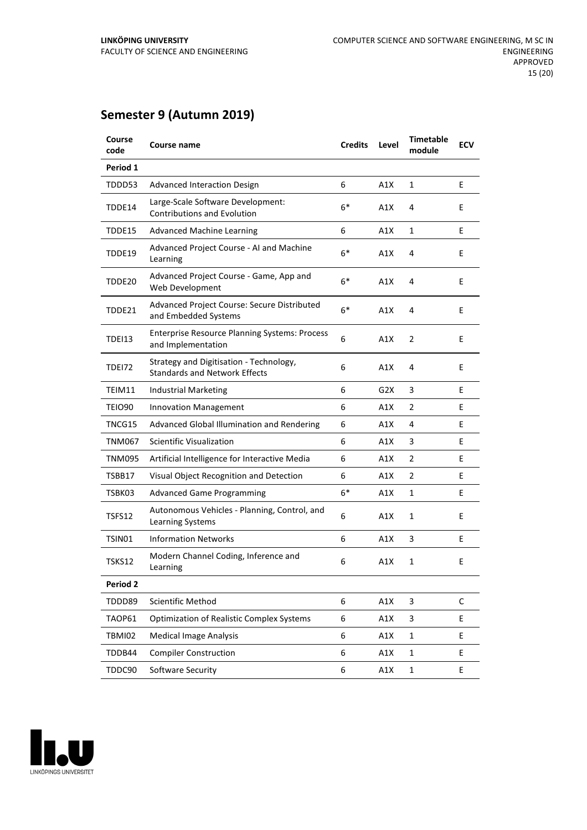### **Semester 9 (Autumn 2019)**

| Course<br>code | Course name                                                                     | <b>Credits</b> | Level | Timetable<br>module | <b>ECV</b>   |
|----------------|---------------------------------------------------------------------------------|----------------|-------|---------------------|--------------|
| Period 1       |                                                                                 |                |       |                     |              |
| TDDD53         | <b>Advanced Interaction Design</b>                                              | 6              | A1X   | 1                   | E            |
| TDDE14         | Large-Scale Software Development:<br><b>Contributions and Evolution</b>         | $6*$           | A1X   | 4                   | E            |
| TDDE15         | <b>Advanced Machine Learning</b>                                                | 6              | A1X   | 1                   | E            |
| TDDE19         | Advanced Project Course - AI and Machine<br>Learning                            | $6*$           | A1X   | 4                   | E            |
| TDDE20         | Advanced Project Course - Game, App and<br>Web Development                      | $6*$           | A1X   | 4                   | Е            |
| TDDE21         | Advanced Project Course: Secure Distributed<br>and Embedded Systems             | $6*$           | A1X   | 4                   | E            |
| TDEI13         | <b>Enterprise Resource Planning Systems: Process</b><br>and Implementation      | 6              | A1X   | 2                   | E            |
| TDEI72         | Strategy and Digitisation - Technology,<br><b>Standards and Network Effects</b> | 6              | A1X   | 4                   | E            |
| TEIM11         | <b>Industrial Marketing</b>                                                     | 6              | G2X   | 3                   | E            |
| TEIO90         | <b>Innovation Management</b>                                                    | 6              | A1X   | 2                   | E            |
| TNCG15         | Advanced Global Illumination and Rendering                                      | 6              | A1X   | 4                   | E            |
| TNM067         | <b>Scientific Visualization</b>                                                 | 6              | A1X   | 3                   | Е            |
| TNM095         | Artificial Intelligence for Interactive Media                                   | 6              | A1X   | 2                   | E            |
| TSBB17         | Visual Object Recognition and Detection                                         | 6              | A1X   | 2                   | E            |
| TSBK03         | <b>Advanced Game Programming</b>                                                | $6*$           | A1X   | 1                   | E            |
| TSFS12         | Autonomous Vehicles - Planning, Control, and<br>Learning Systems                | 6              | A1X   | 1                   | E            |
| TSIN01         | <b>Information Networks</b>                                                     | 6              | A1X   | 3                   | E            |
| TSKS12         | Modern Channel Coding, Inference and<br>Learning                                | 6              | A1X   | 1                   | Ε            |
| Period 2       |                                                                                 |                |       |                     |              |
| TDDD89         | <b>Scientific Method</b>                                                        | 6              | A1X   | 3                   | $\mathsf{C}$ |
| TAOP61         | <b>Optimization of Realistic Complex Systems</b>                                | 6              | A1X   | 3                   | E            |
| <b>TBMI02</b>  | <b>Medical Image Analysis</b>                                                   | 6              | A1X   | $\mathbf{1}$        | E            |
| TDDB44         | <b>Compiler Construction</b>                                                    | 6              | A1X   | 1                   | E            |
| TDDC90         | Software Security                                                               | 6              | A1X   | $\mathbf 1$         | E            |

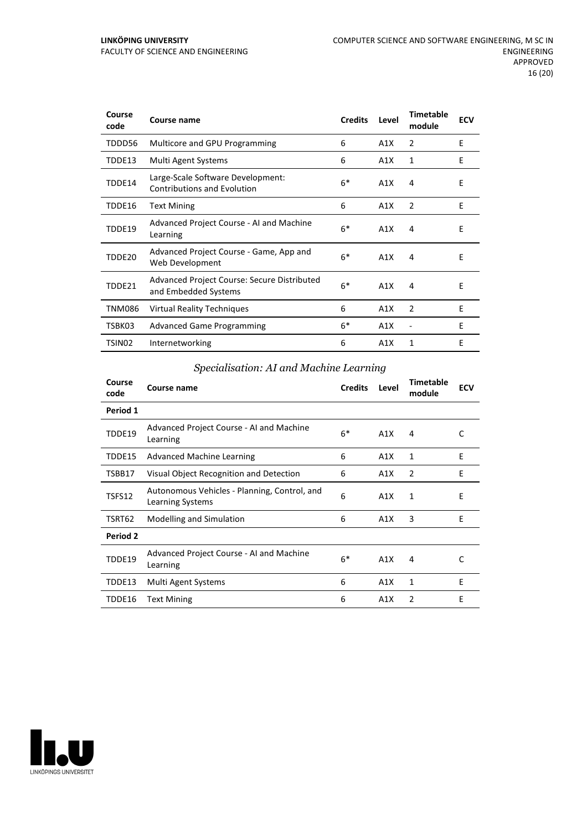| Course<br>code     | Course name                                                             | <b>Credits</b> | Level | <b>Timetable</b><br>module | <b>ECV</b> |
|--------------------|-------------------------------------------------------------------------|----------------|-------|----------------------------|------------|
| TDDD56             | Multicore and GPU Programming                                           | 6              | A1X   | $\overline{2}$             | E          |
| TDDE13             | Multi Agent Systems                                                     | 6              | A1X   | 1                          | E          |
| TDDE14             | Large-Scale Software Development:<br><b>Contributions and Evolution</b> | $6*$           | A1X   | 4                          | E          |
| TDDE16             | <b>Text Mining</b>                                                      | 6              | A1X   | 2                          | E          |
| TDDE19             | Advanced Project Course - AI and Machine<br>Learning                    | $6*$           | A1X   | 4                          | E          |
| TDDE20             | Advanced Project Course - Game, App and<br>Web Development              | $6*$           | A1X   | 4                          | E          |
| TDDE21             | Advanced Project Course: Secure Distributed<br>and Embedded Systems     | $6*$           | A1X   | 4                          | E          |
| <b>TNM086</b>      | <b>Virtual Reality Techniques</b>                                       | 6              | A1X   | $\overline{2}$             | E          |
| TSBK03             | <b>Advanced Game Programming</b>                                        | $6*$           | A1X   |                            | E          |
| TSIN <sub>02</sub> | Internetworking                                                         | 6              | A1X   | 1                          | E          |

*Specialisation: AI and Machine Learning*

| Course<br>code | Course name                                                      | <b>Credits</b> | Level | <b>Timetable</b><br>module | <b>ECV</b> |
|----------------|------------------------------------------------------------------|----------------|-------|----------------------------|------------|
| Period 1       |                                                                  |                |       |                            |            |
| TDDE19         | Advanced Project Course - AI and Machine<br>Learning             | $6*$           | A1X   | 4                          | C          |
| TDDE15         | <b>Advanced Machine Learning</b>                                 | 6              | A1X   | 1                          | E          |
| TSBB17         | Visual Object Recognition and Detection                          | 6              | A1X   | 2                          | E          |
| TSFS12         | Autonomous Vehicles - Planning, Control, and<br>Learning Systems | 6              | A1X   | 1                          | E          |
| TSRT62         | Modelling and Simulation                                         | 6              | A1X   | 3                          | E          |
| Period 2       |                                                                  |                |       |                            |            |
| TDDE19         | Advanced Project Course - AI and Machine<br>Learning             | $6*$           | A1X   | 4                          | C          |
| TDDE13         | Multi Agent Systems                                              | 6              | A1X   | 1                          | E          |
| TDDE16         | <b>Text Mining</b>                                               | 6              | A1X   | 2                          | E          |

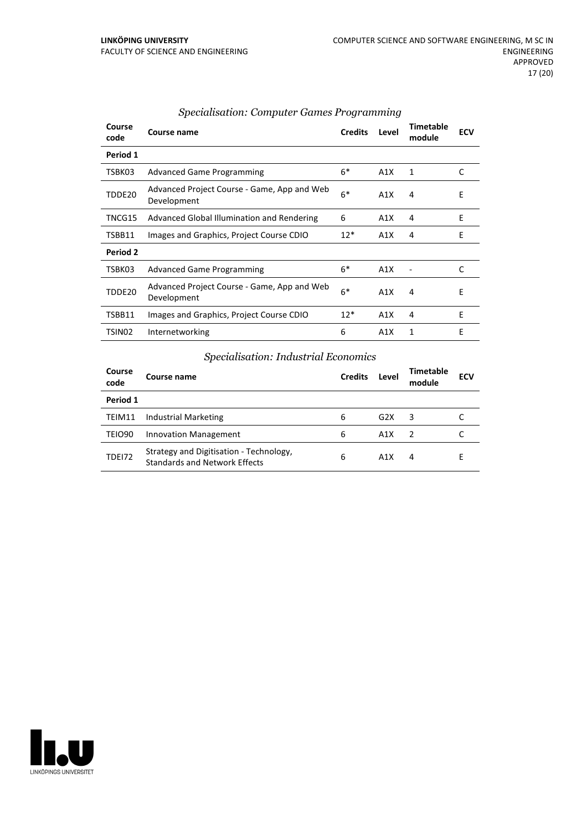| Course<br>code | Course name                                                | <b>Credits</b> | Level | Timetable<br>module | <b>ECV</b> |
|----------------|------------------------------------------------------------|----------------|-------|---------------------|------------|
| Period 1       |                                                            |                |       |                     |            |
| TSBK03         | <b>Advanced Game Programming</b>                           | $6*$           | A1X   | 1                   | C          |
| TDDE20         | Advanced Project Course - Game, App and Web<br>Development | $6*$           | A1X   | 4                   | E          |
| TNCG15         | Advanced Global Illumination and Rendering                 | 6              | A1X   | 4                   | F          |
| TSBB11         | Images and Graphics, Project Course CDIO                   | $12*$          | A1X   | 4                   | F          |
| Period 2       |                                                            |                |       |                     |            |
| TSBK03         | <b>Advanced Game Programming</b>                           | $6*$           | A1X   |                     | C          |
| TDDE20         | Advanced Project Course - Game, App and Web<br>Development | $6*$           | A1X   | 4                   | F          |
| TSBB11         | Images and Graphics, Project Course CDIO                   | $12*$          | A1X   | 4                   | E          |
| TSIN02         | Internetworking                                            | 6              | A1X   | 1                   | Ε          |

#### *Specialisation: Computer Games Programming*

#### *Specialisation: Industrial Economics*

| Course<br>code     | Course name                                                                     | <b>Credits</b> | Level | Timetable<br>module | <b>ECV</b> |
|--------------------|---------------------------------------------------------------------------------|----------------|-------|---------------------|------------|
| Period 1           |                                                                                 |                |       |                     |            |
| TEIM11             | <b>Industrial Marketing</b>                                                     | 6              | G2X   | 3                   |            |
| TEIO <sub>90</sub> | Innovation Management                                                           | 6              | A1X   |                     |            |
| <b>TDE172</b>      | Strategy and Digitisation - Technology,<br><b>Standards and Network Effects</b> | 6              | A1X   | 4                   | F.         |

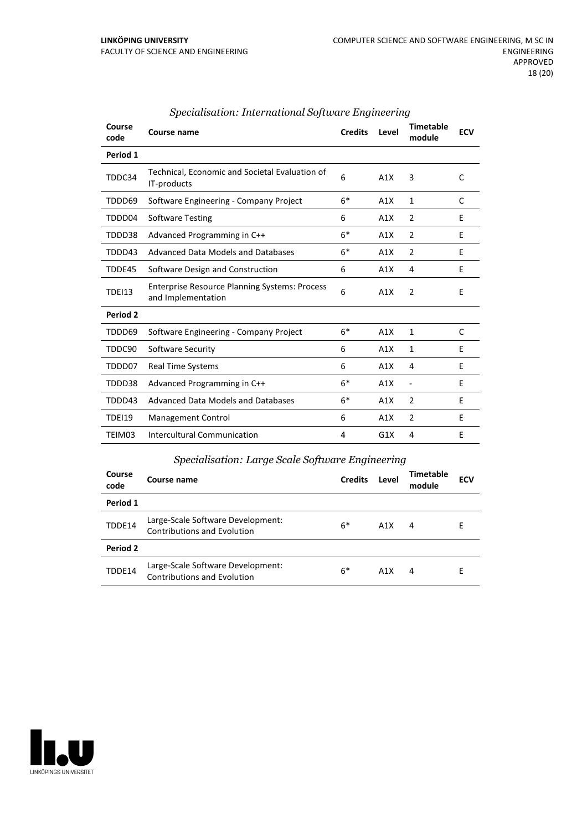| Course<br>code | <b>Course name</b>                                                         | <b>Credits</b> | Level | <b>Timetable</b><br>module | <b>ECV</b> |
|----------------|----------------------------------------------------------------------------|----------------|-------|----------------------------|------------|
| Period 1       |                                                                            |                |       |                            |            |
| TDDC34         | Technical, Economic and Societal Evaluation of<br>IT-products              | 6              | A1X   | 3                          | C          |
| TDDD69         | Software Engineering - Company Project                                     | $6*$           | A1X   | 1                          | C          |
| TDDD04         | <b>Software Testing</b>                                                    | 6              | A1X   | $\overline{2}$             | Ε          |
| TDDD38         | Advanced Programming in C++                                                | $6*$           | A1X   | $\overline{2}$             | E          |
| TDDD43         | Advanced Data Models and Databases                                         | $6*$           | A1X   | $\overline{2}$             | E          |
| TDDE45         | Software Design and Construction                                           | 6              | A1X   | 4                          | E          |
| <b>TDEI13</b>  | <b>Enterprise Resource Planning Systems: Process</b><br>and Implementation | 6              | A1X   | 2                          | E          |
| Period 2       |                                                                            |                |       |                            |            |
| TDDD69         | Software Engineering - Company Project                                     | $6*$           | A1X   | $\mathbf{1}$               | C          |
| TDDC90         | Software Security                                                          | 6              | A1X   | $\mathbf{1}$               | E          |
| TDDD07         | <b>Real Time Systems</b>                                                   | 6              | A1X   | 4                          | E          |
| TDDD38         | Advanced Programming in C++                                                | $6*$           | A1X   | ٠                          | E          |
| TDDD43         | Advanced Data Models and Databases                                         | $6*$           | A1X   | $\overline{2}$             | E          |
| TDEI19         | Management Control                                                         | 6              | A1X   | $\overline{2}$             | E          |
| TEIM03         | Intercultural Communication                                                | 4              | G1X   | 4                          | E          |
|                |                                                                            |                |       |                            |            |

#### *Specialisation: International Software Engineering*

#### *Specialisation: Large Scale Software Engineering*

| Course<br>code | Course name                                                             | <b>Credits</b> | Level | <b>Timetable</b><br>module | <b>ECV</b> |
|----------------|-------------------------------------------------------------------------|----------------|-------|----------------------------|------------|
| Period 1       |                                                                         |                |       |                            |            |
| TDDE14         | Large-Scale Software Development:<br><b>Contributions and Evolution</b> | $6*$           | A1X   | 4                          | Е          |
| Period 2       |                                                                         |                |       |                            |            |
| TDDE14         | Large-Scale Software Development:<br><b>Contributions and Evolution</b> | $6*$           | A1X   | 4                          | Е          |

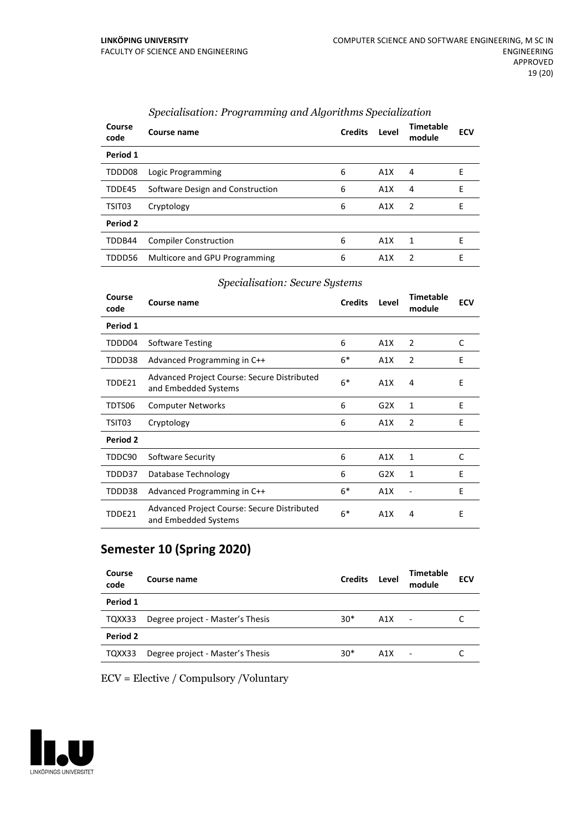| Course<br>code | Course name                      | <b>Credits</b> | Level | Timetable<br>module | <b>ECV</b> |
|----------------|----------------------------------|----------------|-------|---------------------|------------|
| Period 1       |                                  |                |       |                     |            |
| TDDD08         | Logic Programming                | 6              | A1X   | 4                   | Е          |
| TDDE45         | Software Design and Construction | 6              | A1X   | 4                   | Е          |
| TSIT03         | Cryptology                       | 6              | A1X   | -2                  | F          |
| Period 2       |                                  |                |       |                     |            |
| TDDB44         | <b>Compiler Construction</b>     | 6              | A1X   | 1                   | F          |
| TDDD56         | Multicore and GPU Programming    | 6              | A1X   | 2                   | F          |

#### *Specialisation: Programming and Algorithms Specialization*

#### *Specialisation: Secure Systems*

| Course<br>code | Course name                                                         | <b>Credits</b> | Level | <b>Timetable</b><br>module | <b>ECV</b> |
|----------------|---------------------------------------------------------------------|----------------|-------|----------------------------|------------|
| Period 1       |                                                                     |                |       |                            |            |
| TDDD04         | <b>Software Testing</b>                                             | 6              | A1X   | $\overline{2}$             | C          |
| TDDD38         | Advanced Programming in C++                                         | $6*$           | A1X   | $\overline{2}$             | E          |
| TDDE21         | Advanced Project Course: Secure Distributed<br>and Embedded Systems | $6*$           | A1X   | 4                          | E          |
| TDTS06         | <b>Computer Networks</b>                                            | 6              | G2X   | $\mathbf{1}$               | E          |
| TSIT03         | Cryptology                                                          | 6              | A1X   | $\overline{2}$             | E          |
| Period 2       |                                                                     |                |       |                            |            |
| TDDC90         | Software Security                                                   | 6              | A1X   | $\mathbf{1}$               | C          |
| TDDD37         | Database Technology                                                 | 6              | G2X   | 1                          | E          |
| TDDD38         | Advanced Programming in C++                                         | $6*$           | A1X   |                            | E          |
| TDDE21         | Advanced Project Course: Secure Distributed<br>and Embedded Systems | $6*$           | A1X   | 4                          | E          |

### **Semester 10 (Spring 2020)**

| Course<br>code | Course name                      | <b>Credits</b> | Level | <b>Timetable</b><br>module | <b>ECV</b> |
|----------------|----------------------------------|----------------|-------|----------------------------|------------|
| Period 1       |                                  |                |       |                            |            |
| TQXX33         | Degree project - Master's Thesis | $30*$          | A1X   | $\overline{\phantom{a}}$   |            |
| Period 2       |                                  |                |       |                            |            |
| TQXX33         | Degree project - Master's Thesis | $30*$          | A1X   | ٠                          |            |

ECV = Elective / Compulsory /Voluntary